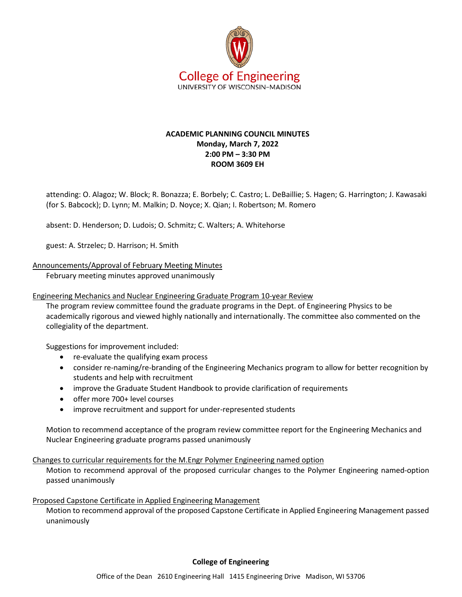

# **ACADEMIC PLANNING COUNCIL MINUTES Monday, March 7, 2022 2:00 PM – 3:30 PM ROOM 3609 EH**

attending: O. Alagoz; W. Block; R. Bonazza; E. Borbely; C. Castro; L. DeBaillie; S. Hagen; G. Harrington; J. Kawasaki (for S. Babcock); D. Lynn; M. Malkin; D. Noyce; X. Qian; I. Robertson; M. Romero

absent: D. Henderson; D. Ludois; O. Schmitz; C. Walters; A. Whitehorse

guest: A. Strzelec; D. Harrison; H. Smith

Announcements/Approval of February Meeting Minutes

February meeting minutes approved unanimously

Engineering Mechanics and Nuclear Engineering Graduate Program 10-year Review

The program review committee found the graduate programs in the Dept. of Engineering Physics to be academically rigorous and viewed highly nationally and internationally. The committee also commented on the collegiality of the department.

Suggestions for improvement included:

- re-evaluate the qualifying exam process
- consider re-naming/re-branding of the Engineering Mechanics program to allow for better recognition by students and help with recruitment
- improve the Graduate Student Handbook to provide clarification of requirements
- offer more 700+ level courses
- improve recruitment and support for under-represented students

Motion to recommend acceptance of the program review committee report for the Engineering Mechanics and Nuclear Engineering graduate programs passed unanimously

## Changes to curricular requirements for the M.Engr Polymer Engineering named option

Motion to recommend approval of the proposed curricular changes to the Polymer Engineering named-option passed unanimously

## Proposed Capstone Certificate in Applied Engineering Management

Motion to recommend approval of the proposed Capstone Certificate in Applied Engineering Management passed unanimously

**College of Engineering**